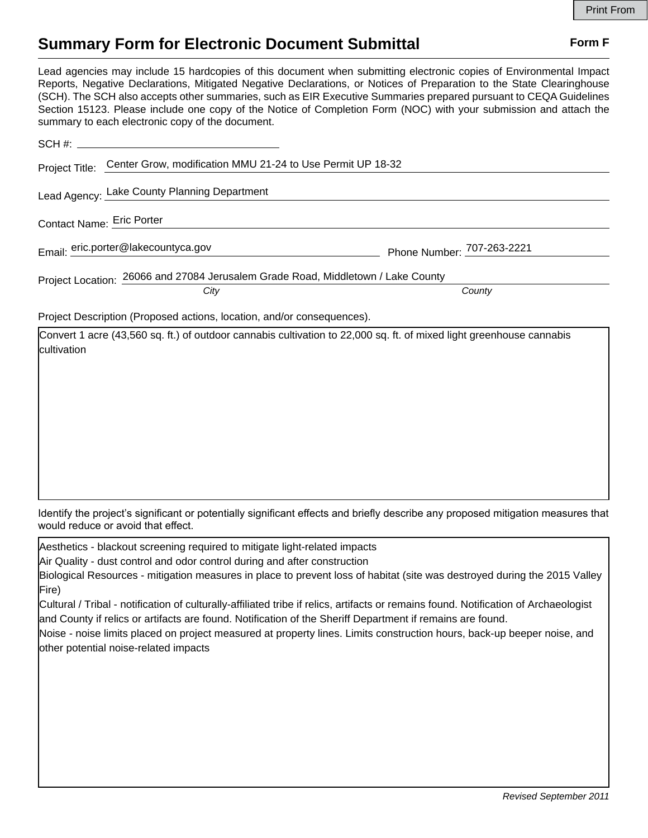## **Summary Form for Electronic Document Submittal Form F Form F**

Lead agencies may include 15 hardcopies of this document when submitting electronic copies of Environmental Impact Reports, Negative Declarations, Mitigated Negative Declarations, or Notices of Preparation to the State Clearinghouse (SCH). The SCH also accepts other summaries, such as EIR Executive Summaries prepared pursuant to CEQA Guidelines Section 15123. Please include one copy of the Notice of Completion Form (NOC) with your submission and attach the summary to each electronic copy of the document.

|                                                                                  | Project Title: Center Grow, modification MMU 21-24 to Use Permit UP 18-32                                            |                            |  |  |  |
|----------------------------------------------------------------------------------|----------------------------------------------------------------------------------------------------------------------|----------------------------|--|--|--|
|                                                                                  | Lead Agency: Lake County Planning Department                                                                         |                            |  |  |  |
| Contact Name: Eric Porter                                                        |                                                                                                                      |                            |  |  |  |
| Email: eric.porter@lakecountyca.gov                                              |                                                                                                                      | Phone Number: 707-263-2221 |  |  |  |
| Project Location: 26066 and 27084 Jerusalem Grade Road, Middletown / Lake County |                                                                                                                      |                            |  |  |  |
|                                                                                  | City                                                                                                                 | County                     |  |  |  |
| Project Description (Proposed actions, location, and/or consequences).           |                                                                                                                      |                            |  |  |  |
| <b>Icultivation</b>                                                              | Convert 1 acre (43,560 sq. ft.) of outdoor cannabis cultivation to 22,000 sq. ft. of mixed light greenhouse cannabis |                            |  |  |  |

Identify the project's significant or potentially significant effects and briefly describe any proposed mitigation measures that would reduce or avoid that effect.

Aesthetics - blackout screening required to mitigate light-related impacts

Air Quality - dust control and odor control during and after construction

|       | Biological Resources - mitigation measures in place to prevent loss of habitat (site was destroyed during the 2015 Valley |  |  |
|-------|---------------------------------------------------------------------------------------------------------------------------|--|--|
| Fire) |                                                                                                                           |  |  |

Cultural / Tribal - notification of culturally-affiliated tribe if relics, artifacts or remains found. Notification of Archaeologist and County if relics or artifacts are found. Notification of the Sheriff Department if remains are found.

Noise - noise limits placed on project measured at property lines. Limits construction hours, back-up beeper noise, and other potential noise-related impacts